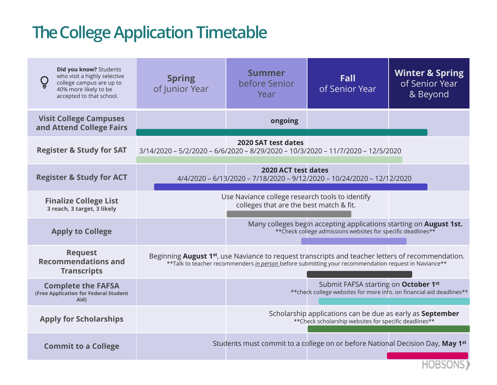## **The College Application Timetable**

| Did you know? Students<br>who visit a highly selective<br>college campus are up to<br>40% more likely to be<br>accepted to that school. | <b>Spring</b><br>of Junior Year                                                 | <b>Summer</b><br>before Senior<br>Year                                                                                                                                                                           | Fall<br>of Senior Year                                                                                                              | <b>Winter &amp; Spring</b><br>of Senior Year<br>& Beyond |
|-----------------------------------------------------------------------------------------------------------------------------------------|---------------------------------------------------------------------------------|------------------------------------------------------------------------------------------------------------------------------------------------------------------------------------------------------------------|-------------------------------------------------------------------------------------------------------------------------------------|----------------------------------------------------------|
| <b>Visit College Campuses</b><br>and Attend College Fairs                                                                               |                                                                                 | ongoing                                                                                                                                                                                                          |                                                                                                                                     |                                                          |
| <b>Register &amp; Study for SAT</b>                                                                                                     | 3/14/2020 - 5/2/2020 - 6/6/2020 - 8/29/2020 - 10/3/2020 - 11/7/2020 - 12/5/2020 | 2020 SAT test dates                                                                                                                                                                                              |                                                                                                                                     |                                                          |
| <b>Register &amp; Study for ACT</b>                                                                                                     |                                                                                 | 2020 ACT test dates<br>4/4/2020 - 6/13/2020 - 7/18/2020 - 9/12/2020 - 10/24/2020 - 12/12/2020                                                                                                                    |                                                                                                                                     |                                                          |
| <b>Finalize College List</b><br>3 reach, 3 target, 3 likely                                                                             |                                                                                 | Use Naviance college research tools to identify<br>colleges that are the best match & fit.                                                                                                                       |                                                                                                                                     |                                                          |
| <b>Apply to College</b>                                                                                                                 |                                                                                 |                                                                                                                                                                                                                  | Many colleges begin accepting applications starting on August 1st.<br>** Check college admissions websites for specific deadlines** |                                                          |
| <b>Request</b><br><b>Recommendations and</b><br><b>Transcripts</b>                                                                      |                                                                                 | Beginning <b>August 1st</b> , use Naviance to request transcripts and teacher letters of recommendation.<br>**Talk to teacher recommenders in person before submitting your recommendation request in Naviance** |                                                                                                                                     |                                                          |
| <b>Complete the FAFSA</b><br>(Free Application for Federal Student<br>Aid)                                                              |                                                                                 |                                                                                                                                                                                                                  | Submit FAFSA starting on October 1st<br>** check college websites for more info. on financial aid deadlines**                       |                                                          |
| <b>Apply for Scholarships</b>                                                                                                           |                                                                                 |                                                                                                                                                                                                                  | Scholarship applications can be due as early as <b>September</b><br>** Check scholarship websites for specific deadlines**          |                                                          |
| <b>Commit to a College</b>                                                                                                              |                                                                                 | Students must commit to a college on or before National Decision Day, May 1 <sup>st</sup>                                                                                                                        |                                                                                                                                     |                                                          |
|                                                                                                                                         |                                                                                 |                                                                                                                                                                                                                  |                                                                                                                                     |                                                          |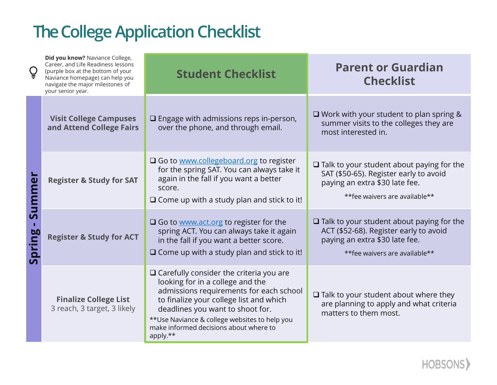## **The College Application Checklist**

| $\c9$            | Did you know? Naviance College,<br>Career, and Life Readiness lessons<br>(purple box at the bottom of your<br>Naviance homepage) can help you<br>navigate the major milestones of<br>your senior year. | <b>Student Checklist</b>                                                                                                                                                                                                                                                                                               | <b>Parent or Guardian</b><br><b>Checklist</b>                                                                                                                  |
|------------------|--------------------------------------------------------------------------------------------------------------------------------------------------------------------------------------------------------|------------------------------------------------------------------------------------------------------------------------------------------------------------------------------------------------------------------------------------------------------------------------------------------------------------------------|----------------------------------------------------------------------------------------------------------------------------------------------------------------|
| Summer<br>Spring | <b>Visit College Campuses</b><br>and Attend College Fairs                                                                                                                                              | $\square$ Engage with admissions reps in-person,<br>over the phone, and through email.                                                                                                                                                                                                                                 | $\Box$ Work with your student to plan spring &<br>summer visits to the colleges they are<br>most interested in.                                                |
|                  | <b>Register &amp; Study for SAT</b>                                                                                                                                                                    | $\Box$ Go to www.collegeboard.org to register<br>for the spring SAT. You can always take it<br>again in the fall if you want a better<br>score.<br>$\Box$ Come up with a study plan and stick to it!                                                                                                                   | $\Box$ Talk to your student about paying for the<br>SAT (\$50-65). Register early to avoid<br>paying an extra \$30 late fee.<br>**fee waivers are available**  |
|                  | <b>Register &amp; Study for ACT</b>                                                                                                                                                                    | $\Box$ Go to www.act.org to register for the<br>spring ACT. You can always take it again<br>in the fall if you want a better score.<br>$\Box$ Come up with a study plan and stick to it!                                                                                                                               | $\Box$ Talk to your student about paying for the<br>ACT (\$52-68). Register early to avoid<br>paying an extra \$30 late fee.<br>** fee waivers are available** |
|                  | <b>Finalize College List</b><br>3 reach, 3 target, 3 likely                                                                                                                                            | $\Box$ Carefully consider the criteria you are<br>looking for in a college and the<br>admissions requirements for each school<br>to finalize your college list and which<br>deadlines you want to shoot for.<br>**Use Naviance & college websites to help you<br>make informed decisions about where to<br>apply. $**$ | $\Box$ Talk to your student about where they<br>are planning to apply and what criteria<br>matters to them most.                                               |